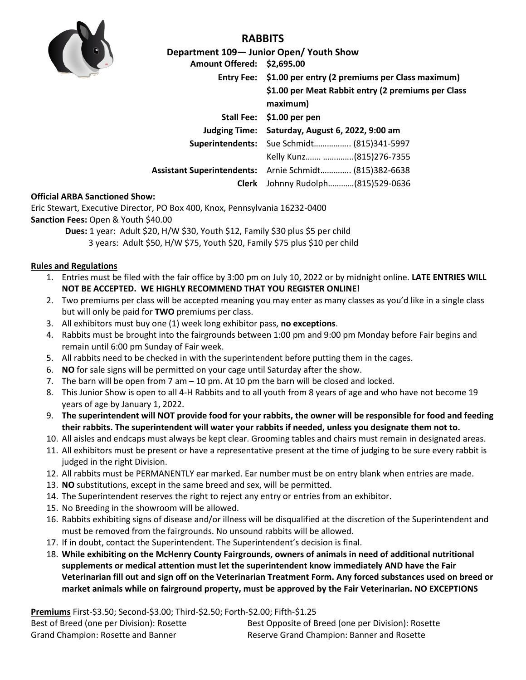

# **RABBITS**

**Department 109— Junior Open/ Youth Show**

| Amount Offered: \$2,695.00                                     |  |  |
|----------------------------------------------------------------|--|--|
| Entry Fee: \$1.00 per entry (2 premiums per Class maximum)     |  |  |
| \$1.00 per Meat Rabbit entry (2 premiums per Class<br>maximum) |  |  |
| Stall Fee: \$1.00 per pen                                      |  |  |
| Judging Time: Saturday, August 6, 2022, 9:00 am                |  |  |
| <b>Superintendents:</b> Sue Schmidt (815)341-5997              |  |  |
| Kelly Kunz (815)276-7355                                       |  |  |
| Assistant Superintendents: Arnie Schmidt (815)382-6638         |  |  |
| Johnny Rudolph(815)529-0636<br>Clerk                           |  |  |
|                                                                |  |  |

#### **Official ARBA Sanctioned Show:**

Eric Stewart, Executive Director, PO Box 400, Knox, Pennsylvania 16232-0400 **Sanction Fees:** Open & Youth \$40.00

> **Dues:** 1 year: Adult \$20, H/W \$30, Youth \$12, Family \$30 plus \$5 per child 3 years: Adult \$50, H/W \$75, Youth \$20, Family \$75 plus \$10 per child

#### **Rules and Regulations**

- 1. Entries must be filed with the fair office by 3:00 pm on July 10, 2022 or by midnight online. **LATE ENTRIES WILL NOT BE ACCEPTED. WE HIGHLY RECOMMEND THAT YOU REGISTER ONLINE!**
- 2. Two premiums per class will be accepted meaning you may enter as many classes as you'd like in a single class but will only be paid for **TWO** premiums per class.
- 3. All exhibitors must buy one (1) week long exhibitor pass, **no exceptions**.
- 4. Rabbits must be brought into the fairgrounds between 1:00 pm and 9:00 pm Monday before Fair begins and remain until 6:00 pm Sunday of Fair week.
- 5. All rabbits need to be checked in with the superintendent before putting them in the cages.
- 6. **NO** for sale signs will be permitted on your cage until Saturday after the show.
- 7. The barn will be open from 7 am 10 pm. At 10 pm the barn will be closed and locked.
- 8. This Junior Show is open to all 4-H Rabbits and to all youth from 8 years of age and who have not become 19 years of age by January 1, 2022.
- 9. **The superintendent will NOT provide food for your rabbits, the owner will be responsible for food and feeding their rabbits. The superintendent will water your rabbits if needed, unless you designate them not to.**
- 10. All aisles and endcaps must always be kept clear. Grooming tables and chairs must remain in designated areas.
- 11. All exhibitors must be present or have a representative present at the time of judging to be sure every rabbit is judged in the right Division.
- 12. All rabbits must be PERMANENTLY ear marked. Ear number must be on entry blank when entries are made.
- 13. **NO** substitutions, except in the same breed and sex, will be permitted.
- 14. The Superintendent reserves the right to reject any entry or entries from an exhibitor.
- 15. No Breeding in the showroom will be allowed.
- 16. Rabbits exhibiting signs of disease and/or illness will be disqualified at the discretion of the Superintendent and must be removed from the fairgrounds. No unsound rabbits will be allowed.
- 17. If in doubt, contact the Superintendent. The Superintendent's decision is final.
- 18. **While exhibiting on the McHenry County Fairgrounds, owners of animals in need of additional nutritional supplements or medical attention must let the superintendent know immediately AND have the Fair Veterinarian fill out and sign off on the Veterinarian Treatment Form. Any forced substances used on breed or market animals while on fairground property, must be approved by the Fair Veterinarian. NO EXCEPTIONS**

**Premiums** First-\$3.50; Second-\$3.00; Third-\$2.50; Forth-\$2.00; Fifth-\$1.25

Best of Breed (one per Division): Rosette Best Opposite of Breed (one per Division): Rosette Grand Champion: Rosette and Banner Reserve Grand Champion: Banner and Rosette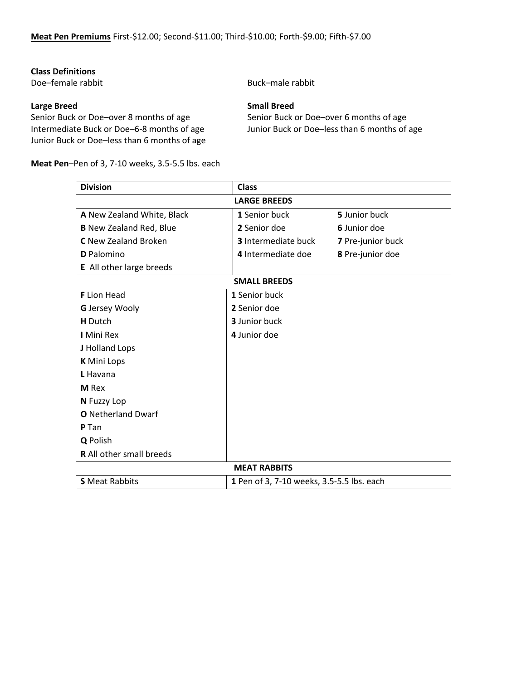## **Class Definitions**

Doe–female rabbit Buck–male rabbit

### **Large Breed Small Breed**

Senior Buck or Doe–over 8 months of age Senior Buck or Doe–over 6 months of age Intermediate Buck or Doe–6-8 months of age Junior Buck or Doe–less than 6 months of Junior Buck or Doe–less than 6 months of age

**Meat Pen**–Pen of 3, 7-10 weeks, 3.5-5.5 lbs. each

Junior Buck or Doe–less than 6 months of age

| <b>Division</b>                 | <b>Class</b>                              |                   |  |  |  |  |
|---------------------------------|-------------------------------------------|-------------------|--|--|--|--|
| <b>LARGE BREEDS</b>             |                                           |                   |  |  |  |  |
| A New Zealand White, Black      | 1 Senior buck                             | 5 Junior buck     |  |  |  |  |
| <b>B</b> New Zealand Red, Blue  | 2 Senior doe                              | 6 Junior doe      |  |  |  |  |
| C New Zealand Broken            | <b>3</b> Intermediate buck                | 7 Pre-junior buck |  |  |  |  |
| <b>D</b> Palomino               | 4 Intermediate doe                        | 8 Pre-junior doe  |  |  |  |  |
| E All other large breeds        |                                           |                   |  |  |  |  |
|                                 | <b>SMALL BREEDS</b>                       |                   |  |  |  |  |
| <b>F</b> Lion Head              | 1 Senior buck                             |                   |  |  |  |  |
| <b>G</b> Jersey Wooly           | 2 Senior doe                              |                   |  |  |  |  |
| <b>H</b> Dutch                  | <b>3</b> Junior buck                      |                   |  |  |  |  |
| I Mini Rex                      | 4 Junior doe                              |                   |  |  |  |  |
| J Holland Lops                  |                                           |                   |  |  |  |  |
| <b>K</b> Mini Lops              |                                           |                   |  |  |  |  |
| L Havana                        |                                           |                   |  |  |  |  |
| <b>M</b> Rex                    |                                           |                   |  |  |  |  |
| N Fuzzy Lop                     |                                           |                   |  |  |  |  |
| <b>O</b> Netherland Dwarf       |                                           |                   |  |  |  |  |
| P Tan                           |                                           |                   |  |  |  |  |
| Q Polish                        |                                           |                   |  |  |  |  |
| <b>R</b> All other small breeds |                                           |                   |  |  |  |  |
| <b>MEAT RABBITS</b>             |                                           |                   |  |  |  |  |
| <b>S</b> Meat Rabbits           | 1 Pen of 3, 7-10 weeks, 3.5-5.5 lbs. each |                   |  |  |  |  |